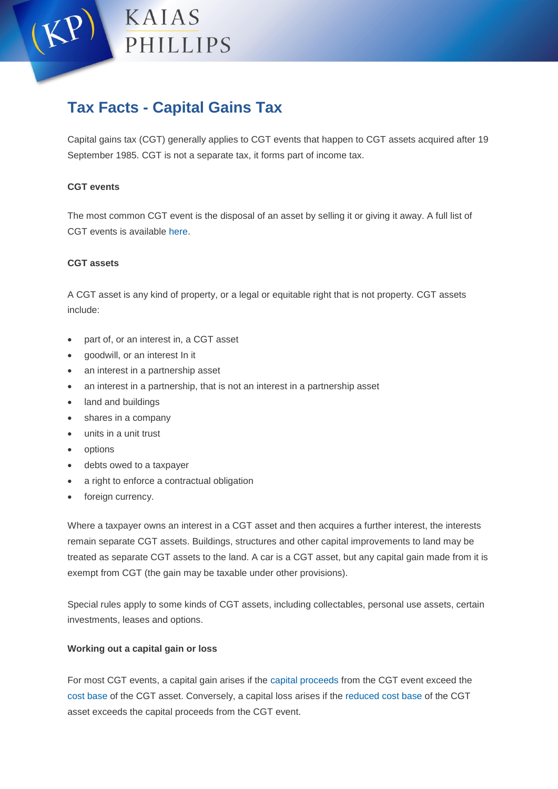

# **Tax Facts - Capital Gains Tax**

Capital gains tax (CGT) generally applies to CGT events that happen to CGT assets acquired after 19 September 1985. CGT is not a separate tax, it forms part of income tax.

## **CGT events**

The most common CGT event is the disposal of an asset by selling it or giving it away. A full list of CGT events is available [here.](https://www.ato.gov.au/General/Capital-gains-tax/In-detail/Events/Summary-of-CGT-events/)

## **CGT assets**

A CGT asset is any kind of property, or a legal or equitable right that is not property. CGT assets include:

- part of, or an interest in, a CGT asset
- goodwill, or an interest In it
- an interest in a partnership asset
- an interest in a partnership, that is not an interest in a partnership asset
- land and buildings
- shares in a company
- units in a unit trust
- options
- debts owed to a taxpayer
- a right to enforce a contractual obligation
- foreign currency.

Where a taxpayer owns an interest in a CGT asset and then acquires a further interest, the interests remain separate CGT assets. Buildings, structures and other capital improvements to land may be treated as separate CGT assets to the land. A car is a CGT asset, but any capital gain made from it is exempt from CGT (the gain may be taxable under other provisions).

Special rules apply to some kinds of CGT assets, including collectables, personal use assets, certain investments, leases and options.

## **Working out a capital gain or loss**

For most CGT events, a capital gain arises if the [capital proceeds](https://www.ato.gov.au/General/Capital-gains-tax/In-detail/Calculating-a-capital-gain-or-loss/What-are-capital-proceeds-/) from the CGT event exceed the [cost base](https://www.ato.gov.au/General/Capital-gains-tax/In-detail/Calculating-a-capital-gain-or-loss/What-is-the-cost-base-/) of the CGT asset. Conversely, a capital loss arises if the [reduced cost base](https://www.ato.gov.au/General/Capital-gains-tax/In-detail/Calculating-a-capital-gain-or-loss/What-is-the-cost-base-/?amp=&page=6#The_reduced_cost_base) of the CGT asset exceeds the capital proceeds from the CGT event.